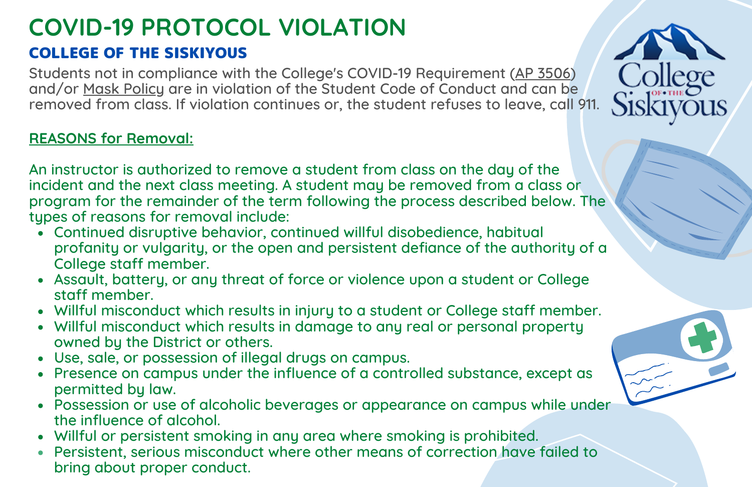## **COVID-19 PROTOCOL VIOLATION**

## COLLEGE OF THE SISKIYOUS

Students not in compliance with the College's COVID-19 Requirement (AP [3506\)](https://www.siskiyous.edu/bpap/procedures/general/ap3506.pdf) and/or Mask [Policy](https://www.siskiyous.edu/health/covid19.htm) are in violation of the Student Code of Conduct and can be removed from class. If violation continues or, the student refuses to leave, call 911.

## **REASONS for Removal:**

An instructor is authorized to remove a student from class on the day of the incident and the next class meeting. A student may be removed from a class or program for the remainder of the term following the process described below. The types of reasons for removal include:

- Continued disruptive behavior, continued willful disobedience, habitual profanity or vulgarity, or the open and persistent defiance of the authority of a College staff member.
- Assault, battery, or any threat of force or violence upon a student or College staff member.
- Willful misconduct which results in injury to a student or College staff member.
- Willful misconduct which results in damage to any real or personal property owned by the District or others.
- Use, sale, or possession of illegal drugs on campus.
- Presence on campus under the influence of a controlled substance, except as permitted by law.
- Possession or use of alcoholic beverages or appearance on campus while under the influence of alcohol.
- Willful or persistent smoking in any area where smoking is prohibited.
- Persistent, serious misconduct where other means of correction have failed to bring about proper conduct.